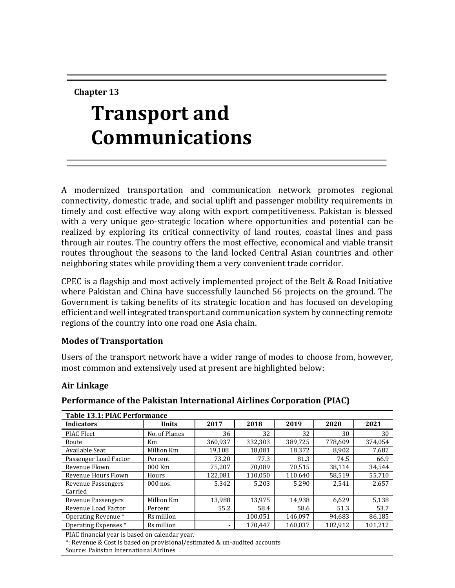**Chapter 13**

# **Transport and Communications**

A modernized transportation and communication network promotes regional connectivity, domestic trade, and social uplift and passenger mobility requirements in timely and cost effective way along with export competitiveness. Pakistan is blessed with a very unique geo-strategic location where opportunities and potential can be realized by exploring its critical connectivity of land routes, coastal lines and pass through air routes. The country offers the most effective, economical and viable transit routes throughout the seasons to the land locked Central Asian countries and other neighboring states while providing them a very convenient trade corridor.

CPEC is a flagship and most actively implemented project of the Belt & Road Initiative where Pakistan and China have successfully launched 56 projects on the ground. The Government is taking benefits of its strategic location and has focused on developing efficient and well integrated transport and communication system by connecting remote regions of the country into one road one Asia chain.

#### **Modes of Transportation**

Users of the transport network have a wider range of modes to choose from, however, most common and extensively used at present are highlighted below:

#### **Air Linkage**

#### **Performance of the Pakistan International Airlines Corporation (PIAC)**

| <b>Table 13.1: PIAC Performance</b> |               |         |         |         |         |         |  |
|-------------------------------------|---------------|---------|---------|---------|---------|---------|--|
| <b>Indicators</b>                   | <b>Units</b>  | 2017    | 2018    | 2019    | 2020    | 2021    |  |
| PIAC Fleet                          | No. of Planes | 36      | 32      | 32      | 30      | 30      |  |
| Route                               | Km            | 360,937 | 332,303 | 389.725 | 778,609 | 374,054 |  |
| Available Seat                      | Million Km    | 19,108  | 18,081  | 18,372  | 8,902   | 7,682   |  |
| Passenger Load Factor               | Percent       | 73.20   | 77.3    | 81.3    | 74.5    | 66.9    |  |
| Revenue Flown                       | 000 Km        | 75.207  | 70.089  | 70,515  | 38.114  | 34,544  |  |
| Revenue Hours Flown                 | Hours         | 122.081 | 110,050 | 110.640 | 58,519  | 55,710  |  |
| Revenue Passengers                  | $000$ nos.    | 5,342   | 5,203   | 5,290   | 2.541   | 2,657   |  |
| Carried                             |               |         |         |         |         |         |  |
| Revenue Passengers                  | Million Km    | 13,988  | 13.975  | 14.938  | 6,629   | 5,138   |  |
| Revenue Load Factor                 | Percent       | 55.2    | 58.4    | 58.6    | 51.3    | 53.7    |  |
| Operating Revenue *                 | Rs million    |         | 100.051 | 146.097 | 94.683  | 86,185  |  |
| Operating Expenses *                | Rs million    |         | 170.447 | 160.037 | 102.912 | 101.212 |  |

PIAC financial year is based on calendar year.

\*: Revenue & Cost is based on provisional/estimated & un-audited accounts

Source: Pakistan International Airlines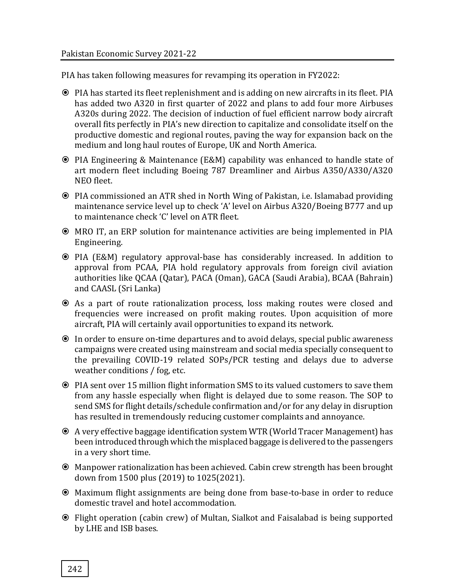PIA has taken following measures for revamping its operation in FY2022:

- PIA has started its fleet replenishment and is adding on new aircrafts in its fleet. PIA has added two A320 in first quarter of 2022 and plans to add four more Airbuses A320s during 2022. The decision of induction of fuel efficient narrow body aircraft overall fits perfectly in PIA's new direction to capitalize and consolidate itself on the productive domestic and regional routes, paving the way for expansion back on the medium and long haul routes of Europe, UK and North America.
- PIA Engineering & Maintenance (E&M) capability was enhanced to handle state of art modern fleet including Boeing 787 Dreamliner and Airbus A350/A330/A320 NEO fleet.
- PIA commissioned an ATR shed in North Wing of Pakistan, i.e. Islamabad providing maintenance service level up to check 'A' level on Airbus A320/Boeing B777 and up to maintenance check 'C' level on ATR fleet.
- MRO IT, an ERP solution for maintenance activities are being implemented in PIA Engineering.
- PIA (E&M) regulatory approval-base has considerably increased. In addition to approval from PCAA, PIA hold regulatory approvals from foreign civil aviation authorities like QCAA (Qatar), PACA (Oman), GACA (Saudi Arabia), BCAA (Bahrain) and CAASL (Sri Lanka)
- As a part of route rationalization process, loss making routes were closed and frequencies were increased on profit making routes. Upon acquisition of more aircraft, PIA will certainly avail opportunities to expand its network.
- In order to ensure on-time departures and to avoid delays, special public awareness campaigns were created using mainstream and social media specially consequent to the prevailing COVID-19 related SOPs/PCR testing and delays due to adverse weather conditions / fog, etc.
- PIA sent over 15 million flight information SMS to its valued customers to save them from any hassle especially when flight is delayed due to some reason. The SOP to send SMS for flight details/schedule confirmation and/or for any delay in disruption has resulted in tremendously reducing customer complaints and annoyance.
- A very effective baggage identification system WTR (World Tracer Management) has been introduced through which the misplaced baggage is delivered to the passengers in a very short time.
- Manpower rationalization has been achieved. Cabin crew strength has been brought down from 1500 plus (2019) to 1025(2021).
- Maximum flight assignments are being done from base-to-base in order to reduce domestic travel and hotel accommodation.
- Flight operation (cabin crew) of Multan, Sialkot and Faisalabad is being supported by LHE and ISB bases.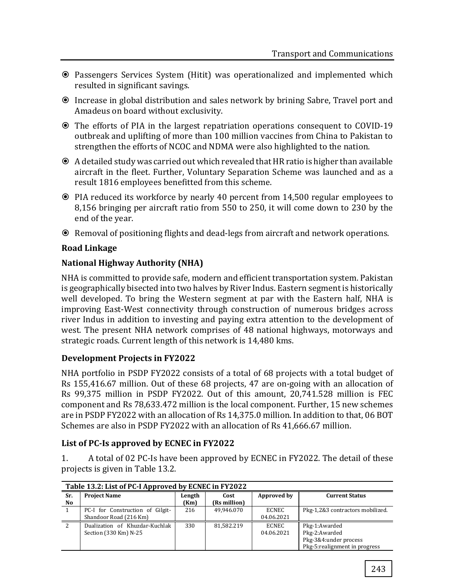- Passengers Services System (Hitit) was operationalized and implemented which resulted in significant savings.
- Increase in global distribution and sales network by brining Sabre, Travel port and Amadeus on board without exclusivity.
- The efforts of PIA in the largest repatriation operations consequent to COVID-19 outbreak and uplifting of more than 100 million vaccines from China to Pakistan to strengthen the efforts of NCOC and NDMA were also highlighted to the nation.
- A detailed study was carried out which revealed that HR ratio is higher than available aircraft in the fleet. Further, Voluntary Separation Scheme was launched and as a result 1816 employees benefitted from this scheme.
- PIA reduced its workforce by nearly 40 percent from 14,500 regular employees to 8,156 bringing per aircraft ratio from 550 to 250, it will come down to 230 by the end of the year.
- Removal of positioning flights and dead-legs from aircraft and network operations.

## **Road Linkage**

## **National Highway Authority (NHA)**

NHA is committed to provide safe, modern and efficient transportation system. Pakistan is geographically bisected into two halves by River Indus. Eastern segment is historically well developed. To bring the Western segment at par with the Eastern half, NHA is improving East-West connectivity through construction of numerous bridges across river Indus in addition to investing and paying extra attention to the development of west. The present NHA network comprises of 48 national highways, motorways and strategic roads. Current length of this network is 14,480 kms.

#### **Development Projects in FY2022**

NHA portfolio in PSDP FY2022 consists of a total of 68 projects with a total budget of Rs 155,416.67 million. Out of these 68 projects, 47 are on-going with an allocation of Rs 99,375 million in PSDP FY2022. Out of this amount, 20,741.528 million is FEC component and Rs 78,633.472 million is the local component. Further, 15 new schemes are in PSDP FY2022 with an allocation of Rs 14,375.0 million. In addition to that, 06 BOT Schemes are also in PSDP FY2022 with an allocation of Rs 41,666.67 million.

#### **List of PC-Is approved by ECNEC in FY2022**

1. A total of 02 PC-Is have been approved by ECNEC in FY2022. The detail of these projects is given in Table 13.2.

|           | Table 13.2: List of PC-I Approved by ECNEC in FY2022       |                |                      |                     |                                                                                           |  |  |  |
|-----------|------------------------------------------------------------|----------------|----------------------|---------------------|-------------------------------------------------------------------------------------------|--|--|--|
| Sr.<br>No | <b>Project Name</b>                                        | Length<br>(Km) | Cost<br>(Rs million) | Approved by         | <b>Current Status</b>                                                                     |  |  |  |
|           | PC-I for Construction of Gilgit-<br>Shandoor Road (216 Km) | 216            | 49.946.070           | ECNEC<br>04.06.2021 | Pkg-1,2&3 contractors mobilized.                                                          |  |  |  |
| -2        | Dualization of Khuzdar-Kuchlak<br>Section (330 Km) N-25    | 330            | 81,582.219           | ECNEC<br>04.06.2021 | Pkg-1:Awarded<br>Pkg-2:Awarded<br>Pkg-3&4:under process<br>Pkg-5: realignment in progress |  |  |  |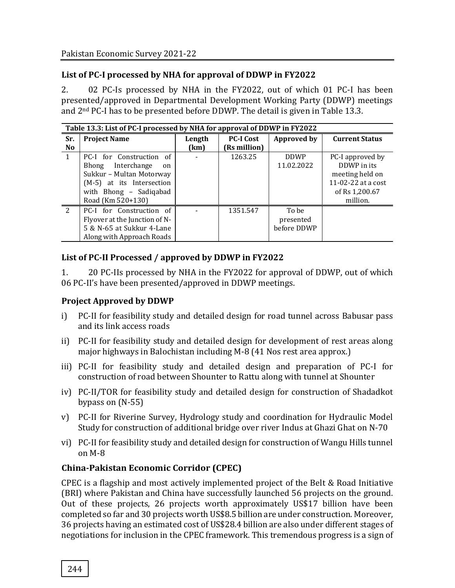## **List of PC-I processed by NHA for approval of DDWP in FY2022**

2. 02 PC-Is processed by NHA in the FY2022, out of which 01 PC-I has been presented/approved in Departmental Development Working Party (DDWP) meetings and 2nd PC-I has to be presented before DDWP. The detail is given in Table 13.3.

|                | Table 13.3: List of PC-I processed by NHA for approval of DDWP in FY2022 |        |                  |             |                       |  |  |
|----------------|--------------------------------------------------------------------------|--------|------------------|-------------|-----------------------|--|--|
| Sr.            | <b>Project Name</b>                                                      | Length | <b>PC-I Cost</b> | Approved by | <b>Current Status</b> |  |  |
| N <sub>o</sub> |                                                                          | (km)   | (Rs million)     |             |                       |  |  |
| $\mathbf{1}$   | PC-I for Construction of                                                 |        | 1263.25          | <b>DDWP</b> | PC-I approved by      |  |  |
|                | Bhong Interchange<br>on                                                  |        |                  | 11.02.2022  | DDWP in its           |  |  |
|                | Sukkur - Multan Motorway                                                 |        |                  |             | meeting held on       |  |  |
|                | (M-5) at its Intersection                                                |        |                  |             | 11-02-22 at a cost    |  |  |
|                | with Bhong - Sadiqabad                                                   |        |                  |             | of Rs 1,200.67        |  |  |
|                | Road (Km 520+130)                                                        |        |                  |             | million.              |  |  |
| $\overline{2}$ | PC-I for Construction of                                                 |        | 1351.547         | To be       |                       |  |  |
|                | Flyover at the Junction of N-                                            |        |                  | presented   |                       |  |  |
|                | 5 & N-65 at Sukkur 4-Lane                                                |        |                  | before DDWP |                       |  |  |
|                | Along with Approach Roads                                                |        |                  |             |                       |  |  |

#### **List of PC-II Processed / approved by DDWP in FY2022**

1. 20 PC-IIs processed by NHA in the FY2022 for approval of DDWP, out of which 06 PC-II's have been presented/approved in DDWP meetings.

#### **Project Approved by DDWP**

- i) PC-II for feasibility study and detailed design for road tunnel across Babusar pass and its link access roads
- ii) PC-II for feasibility study and detailed design for development of rest areas along major highways in Balochistan including M-8 (41 Nos rest area approx.)
- iii) PC-II for feasibility study and detailed design and preparation of PC-I for construction of road between Shounter to Rattu along with tunnel at Shounter
- iv) PC-II/TOR for feasibility study and detailed design for construction of Shadadkot bypass on (N-55)
- v) PC-II for Riverine Survey, Hydrology study and coordination for Hydraulic Model Study for construction of additional bridge over river Indus at Ghazi Ghat on N-70
- vi) PC-II for feasibility study and detailed design for construction of Wangu Hills tunnel on M-8

## **China-Pakistan Economic Corridor (CPEC)**

CPEC is a flagship and most actively implemented project of the Belt & Road Initiative (BRI) where Pakistan and China have successfully launched 56 projects on the ground. Out of these projects, 26 projects worth approximately US\$17 billion have been completed so far and 30 projects worth US\$8.5 billion are under construction. Moreover, 36 projects having an estimated cost of US\$28.4 billion are also under different stages of negotiations for inclusion in the CPEC framework. This tremendous progress is a sign of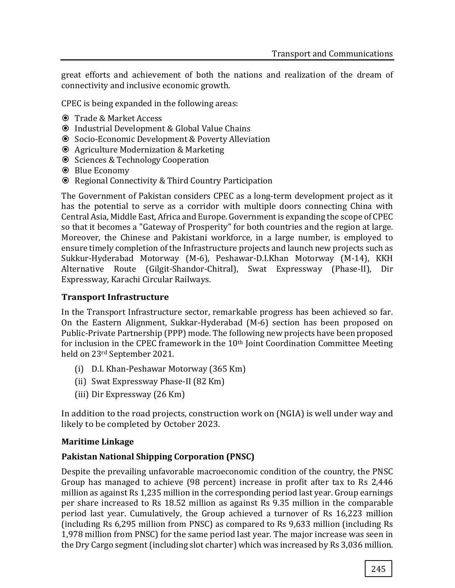great efforts and achievement of both the nations and realization of the dream of connectivity and inclusive economic growth.

CPEC is being expanded in the following areas:

- Trade & Market Access
- Industrial Development & Global Value Chains
- Socio-Economic Development & Poverty Alleviation
- Agriculture Modernization & Marketing
- **◎** Sciences & Technology Cooperation
- Blue Economy
- Regional Connectivity & Third Country Participation

The Government of Pakistan considers CPEC as a long-term development project as it has the potential to serve as a corridor with multiple doors connecting China with Central Asia, Middle East, Africa and Europe. Government is expanding the scope of CPEC so that it becomes a "Gateway of Prosperity" for both countries and the region at large. Moreover, the Chinese and Pakistani workforce, in a large number, is employed to ensure timely completion of the Infrastructure projects and launch new projects such as Sukkur-Hyderabad Motorway (M-6), Peshawar-D.I.Khan Motorway (M-14), KKH Alternative Route (Gilgit-Shandor-Chitral), Swat Expressway (Phase-II), Dir Expressway, Karachi Circular Railways.

#### **Transport Infrastructure**

In the Transport Infrastructure sector, remarkable progress has been achieved so far. On the Eastern Alignment, Sukkar-Hyderabad (M-6) section has been proposed on Public-Private Partnership (PPP) mode. The following new projects have been proposed for inclusion in the CPEC framework in the 10<sup>th</sup> Joint Coordination Committee Meeting held on 23rd September 2021.

- (i) D.I. Khan-Peshawar Motorway (365 Km)
- (ii) Swat Expressway Phase-II (82 Km)
- (iii) Dir Expressway (26 Km)

In addition to the road projects, construction work on (NGIA) is well under way and likely to be completed by October 2023.

#### **Maritime Linkage**

#### **Pakistan National Shipping Corporation (PNSC)**

Despite the prevailing unfavorable macroeconomic condition of the country, the PNSC Group has managed to achieve (98 percent) increase in profit after tax to Rs 2,446 million as against Rs 1,235 million in the corresponding period last year. Group earnings per share increased to Rs 18.52 million as against Rs 9.35 million in the comparable period last year. Cumulatively, the Group achieved a turnover of Rs 16,223 million (including Rs 6,295 million from PNSC) as compared to Rs 9,633 million (including Rs 1,978 million from PNSC) for the same period last year. The major increase was seen in the Dry Cargo segment (including slot charter) which was increased by Rs 3,036 million.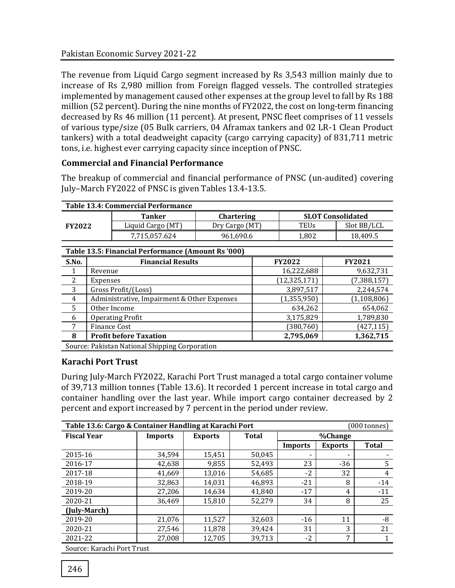The revenue from Liquid Cargo segment increased by Rs 3,543 million mainly due to increase of Rs 2,980 million from Foreign flagged vessels. The controlled strategies implemented by management caused other expenses at the group level to fall by Rs 188 million (52 percent). During the nine months of FY2022, the cost on long-term financing decreased by Rs 46 million (11 percent). At present, PNSC fleet comprises of 11 vessels of various type/size (05 Bulk carriers, 04 Aframax tankers and 02 LR-1 Clean Product tankers) with a total deadweight capacity (cargo carrying capacity) of 831,711 metric tons, i.e. highest ever carrying capacity since inception of PNSC.

#### **Commercial and Financial Performance**

The breakup of commercial and financial performance of PNSC (un-audited) covering July–March FY2022 of PNSC is given Tables 13.4-13.5.

| <b>Table 13.4: Commercial Performance</b> |                   |                   |                          |             |  |  |
|-------------------------------------------|-------------------|-------------------|--------------------------|-------------|--|--|
|                                           | Tanker            | <b>Chartering</b> | <b>SLOT Consolidated</b> |             |  |  |
| <b>FY2022</b>                             | Liquid Cargo (MT) | Dry Cargo (MT)    | TEUs                     | Slot BB/LCL |  |  |
|                                           | 7.715.057.624     | 961.690.6         | 1.802                    | 18.409.5    |  |  |

|       | Table 13.5: Financial Performance (Amount Rs '000) |                |               |  |  |  |
|-------|----------------------------------------------------|----------------|---------------|--|--|--|
| S.No. | <b>Financial Results</b>                           | <b>FY2022</b>  | <b>FY2021</b> |  |  |  |
| 1     | Revenue                                            | 16,222,688     | 9,632,731     |  |  |  |
| 2     | Expenses                                           | (12, 325, 171) | (7, 388, 157) |  |  |  |
| 3     | Gross Profit/(Loss)                                | 3,897,517      | 2,244,574     |  |  |  |
| 4     | Administrative, Impairment & Other Expenses        | (1, 355, 950)  | (1, 108, 806) |  |  |  |
| 5     | Other Income                                       | 634,262        | 654,062       |  |  |  |
| 6     | <b>Operating Profit</b>                            | 3,175,829      | 1,789,830     |  |  |  |
| 7     | Finance Cost                                       | (380,760)      | (427, 115)    |  |  |  |
| 8     | <b>Profit before Taxation</b>                      | 2,795,069      | 1,362,715     |  |  |  |
|       | Source: Pakistan National Shipping Corporation     |                |               |  |  |  |

#### **Karachi Port Trust**

During July-March FY2022, Karachi Port Trust managed a total cargo container volume of 39,713 million tonnes (Table 13.6). It recorded 1 percent increase in total cargo and container handling over the last year. While import cargo container decreased by 2 percent and export increased by 7 percent in the period under review.

| Table 13.6: Cargo & Container Handling at Karachi Port<br>(000 tonnes) |                |                |              |                          |                |              |  |
|------------------------------------------------------------------------|----------------|----------------|--------------|--------------------------|----------------|--------------|--|
| <b>Fiscal Year</b>                                                     | <b>Imports</b> | <b>Exports</b> | <b>Total</b> |                          | %Change        |              |  |
|                                                                        |                |                |              | Imports                  | <b>Exports</b> | <b>Total</b> |  |
| 2015-16                                                                | 34,594         | 15,451         | 50,045       | $\overline{\phantom{a}}$ |                |              |  |
| 2016-17                                                                | 42,638         | 9,855          | 52,493       | 23                       | $-36$          | 5            |  |
| 2017-18                                                                | 41,669         | 13,016         | 54,685       | $-2$                     | 32             | 4            |  |
| 2018-19                                                                | 32,863         | 14,031         | 46,893       | $-21$                    | 8              | $-14$        |  |
| 2019-20                                                                | 27,206         | 14.634         | 41.840       | $-17$                    | 4              | $-11$        |  |
| 2020-21                                                                | 36,469         | 15,810         | 52,279       | 34                       | 8              | 25           |  |
| (July-March)                                                           |                |                |              |                          |                |              |  |
| 2019-20                                                                | 21,076         | 11,527         | 32,603       | $-16$                    | 11             | -8           |  |
| 2020-21                                                                | 27,546         | 11,878         | 39,424       | 31                       | 3              | 21           |  |
| 2021-22                                                                | 27,008         | 12,705         | 39,713       | $-2$                     | 7              |              |  |
| Course Varachi Dort Trust                                              |                |                |              |                          |                |              |  |

Source: Karachi Port Trust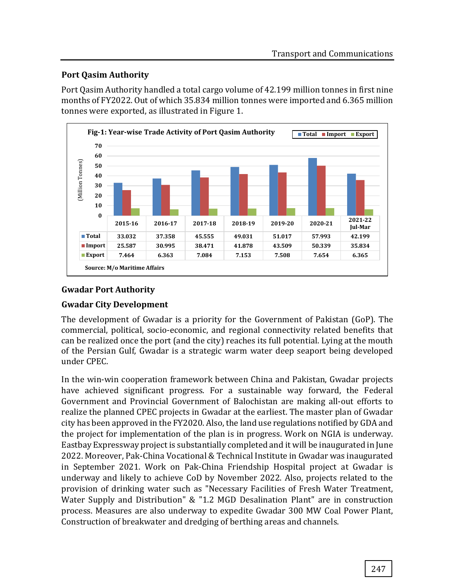## **Port Qasim Authority**

Port Qasim Authority handled a total cargo volume of 42.199 million tonnes in first nine months of FY2022. Out of which 35.834 million tonnes were imported and 6.365 million tonnes were exported, as illustrated in Figure 1.



# **Gwadar Port Authority**

# **Gwadar City Development**

The development of Gwadar is a priority for the Government of Pakistan (GoP). The commercial, political, socio-economic, and regional connectivity related benefits that can be realized once the port (and the city) reaches its full potential. Lying at the mouth of the Persian Gulf, Gwadar is a strategic warm water deep seaport being developed under CPEC.

In the win-win cooperation framework between China and Pakistan, Gwadar projects have achieved significant progress. For a sustainable way forward, the Federal Government and Provincial Government of Balochistan are making all-out efforts to realize the planned CPEC projects in Gwadar at the earliest. The master plan of Gwadar city has been approved in the FY2020. Also, the land use regulations notified by GDA and the project for implementation of the plan is in progress. Work on NGIA is underway. Eastbay Expressway project is substantially completed and it will be inaugurated in June 2022. Moreover, Pak-China Vocational & Technical Institute in Gwadar was inaugurated in September 2021. Work on Pak-China Friendship Hospital project at Gwadar is underway and likely to achieve CoD by November 2022. Also, projects related to the provision of drinking water such as "Necessary Facilities of Fresh Water Treatment, Water Supply and Distribution" & "1.2 MGD Desalination Plant" are in construction process. Measures are also underway to expedite Gwadar 300 MW Coal Power Plant, Construction of breakwater and dredging of berthing areas and channels.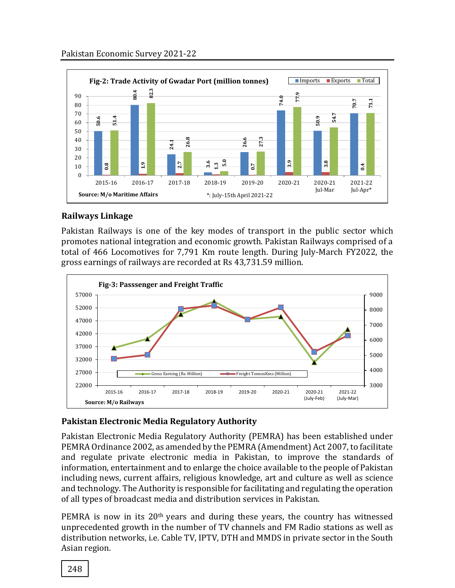

## **Railways Linkage**

Pakistan Railways is one of the key modes of transport in the public sector which promotes national integration and economic growth. Pakistan Railways comprised of a total of 466 Locomotives for 7,791 Km route length. During July-March FY2022, the gross earnings of railways are recorded at Rs 43,731.59 million.



## **Pakistan Electronic Media Regulatory Authority**

Pakistan Electronic Media Regulatory Authority (PEMRA) has been established under PEMRA Ordinance 2002, as amended by the PEMRA (Amendment) Act 2007, to facilitate and regulate private electronic media in Pakistan, to improve the standards of information, entertainment and to enlarge the choice available to the people of Pakistan including news, current affairs, religious knowledge, art and culture as well as science and technology. The Authority is responsible for facilitating and regulating the operation of all types of broadcast media and distribution services in Pakistan.

PEMRA is now in its 20<sup>th</sup> years and during these years, the country has witnessed unprecedented growth in the number of TV channels and FM Radio stations as well as distribution networks, i.e. Cable TV, IPTV, DTH and MMDS in private sector in the South Asian region.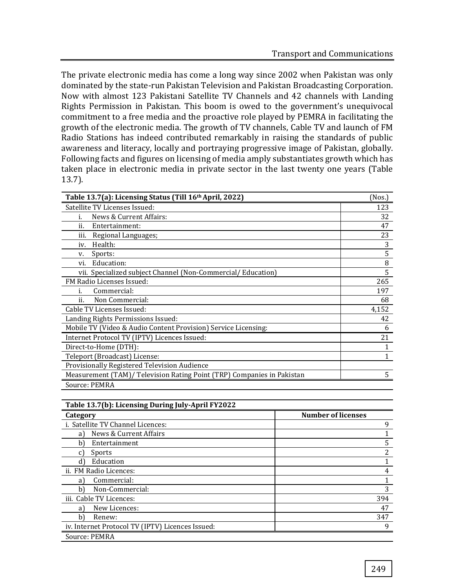The private electronic media has come a long way since 2002 when Pakistan was only dominated by the state-run Pakistan Television and Pakistan Broadcasting Corporation. Now with almost 123 Pakistani Satellite TV Channels and 42 channels with Landing Rights Permission in Pakistan. This boom is owed to the government's unequivocal commitment to a free media and the proactive role played by PEMRA in facilitating the growth of the electronic media. The growth of TV channels, Cable TV and launch of FM Radio Stations has indeed contributed remarkably in raising the standards of public awareness and literacy, locally and portraying progressive image of Pakistan, globally. Following facts and figures on licensing of media amply substantiates growth which has taken place in electronic media in private sector in the last twenty one years (Table 13.7).

| Table 13.7(a): Licensing Status (Till 16 <sup>th</sup> April, 2022)    | (Nos.)       |
|------------------------------------------------------------------------|--------------|
| Satellite TV Licenses Issued:                                          | 123          |
| News & Current Affairs:<br>i.                                          | 32           |
| ii.<br>Entertainment:                                                  | 47           |
| Regional Languages;<br>iii.                                            | 23           |
| Health:<br>iv.                                                         | 3            |
| Sports:<br>v.                                                          | 5            |
| Education:<br>vi.                                                      | 8            |
| vii. Specialized subject Channel (Non-Commercial/Education)            | 5            |
| FM Radio Licenses Issued:                                              | 265          |
| Commercial:<br>ī.                                                      | 197          |
| Non Commercial:<br>ii.                                                 | 68           |
| Cable TV Licenses Issued:                                              | 4,152        |
| Landing Rights Permissions Issued:                                     | 42           |
| Mobile TV (Video & Audio Content Provision) Service Licensing:         | 6            |
| Internet Protocol TV (IPTV) Licences Issued:                           | 21           |
| Direct-to-Home (DTH):                                                  | 1            |
| Teleport (Broadcast) License:                                          | $\mathbf{1}$ |
| Provisionally Registered Television Audience                           |              |
| Measurement (TAM)/ Television Rating Point (TRP) Companies in Pakistan | 5            |
| Source: PEMRA                                                          |              |

| Table 13.7(b): Licensing During July-April FY2022 |                           |
|---------------------------------------------------|---------------------------|
| Category                                          | <b>Number of licenses</b> |
| i. Satellite TV Channel Licences:                 | 9                         |
| News & Current Affairs<br>a)                      |                           |
| Entertainment<br>b)                               | 5                         |
| Sports<br>C)                                      | 2                         |
| Education<br>d)                                   |                           |
| ii. FM Radio Licences:                            | 4                         |
| Commercial:<br>a)                                 |                           |
| Non-Commercial:<br>b)                             | 3                         |
| iii. Cable TV Licences:                           | 394                       |
| New Licences:<br>a)                               | 47                        |
| b)<br>Renew:                                      | 347                       |
| iv. Internet Protocol TV (IPTV) Licences Issued:  | 9                         |
| Source: PEMRA                                     |                           |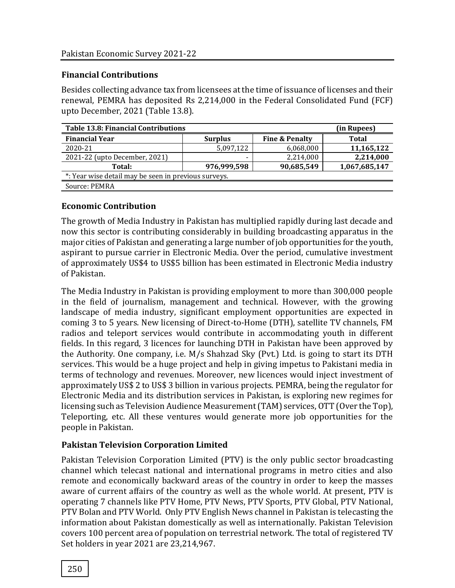#### **Financial Contributions**

Besides collecting advance tax from licensees at the time of issuance of licenses and their renewal, PEMRA has deposited Rs 2,214,000 in the Federal Consolidated Fund (FCF) upto December, 2021 (Table 13.8).

| Table 13.8: Financial Contributions                  | (in Rupees)    |                           |               |  |  |
|------------------------------------------------------|----------------|---------------------------|---------------|--|--|
| <b>Financial Year</b>                                | <b>Surplus</b> | <b>Fine &amp; Penalty</b> | <b>Total</b>  |  |  |
| 2020-21                                              | 5,097,122      | 6,068,000                 | 11,165,122    |  |  |
| 2021-22 (upto December, 2021)                        |                | 2,214,000                 | 2,214,000     |  |  |
| Total:                                               | 976,999,598    | 90,685,549                | 1,067,685,147 |  |  |
| *: Year wise detail may be seen in previous surveys. |                |                           |               |  |  |
| Source: PEMRA                                        |                |                           |               |  |  |

#### **Economic Contribution**

The growth of Media Industry in Pakistan has multiplied rapidly during last decade and now this sector is contributing considerably in building broadcasting apparatus in the major cities of Pakistan and generating a large number of job opportunities for the youth, aspirant to pursue carrier in Electronic Media. Over the period, cumulative investment of approximately US\$4 to US\$5 billion has been estimated in Electronic Media industry of Pakistan.

The Media Industry in Pakistan is providing employment to more than 300,000 people in the field of journalism, management and technical. However, with the growing landscape of media industry, significant employment opportunities are expected in coming 3 to 5 years. New licensing of Direct-to-Home (DTH), satellite TV channels, FM radios and teleport services would contribute in accommodating youth in different fields. In this regard, 3 licences for launching DTH in Pakistan have been approved by the Authority. One company, i.e. M/s Shahzad Sky (Pvt.) Ltd. is going to start its DTH services. This would be a huge project and help in giving impetus to Pakistani media in terms of technology and revenues. Moreover, new licences would inject investment of approximately US\$ 2 to US\$ 3 billion in various projects. PEMRA, being the regulator for Electronic Media and its distribution services in Pakistan, is exploring new regimes for licensing such as Television Audience Measurement (TAM) services, OTT (Over the Top), Teleporting, etc. All these ventures would generate more job opportunities for the people in Pakistan.

## **Pakistan Television Corporation Limited**

Pakistan Television Corporation Limited (PTV) is the only public sector broadcasting channel which telecast national and international programs in metro cities and also remote and economically backward areas of the country in order to keep the masses aware of current affairs of the country as well as the whole world. At present, PTV is operating 7 channels like PTV Home, PTV News, PTV Sports, PTV Global, PTV National, PTV Bolan and PTV World. Only PTV English News channel in Pakistan is telecasting the information about Pakistan domestically as well as internationally. Pakistan Television covers 100 percent area of population on terrestrial network. The total of registered TV Set holders in year 2021 are 23,214,967.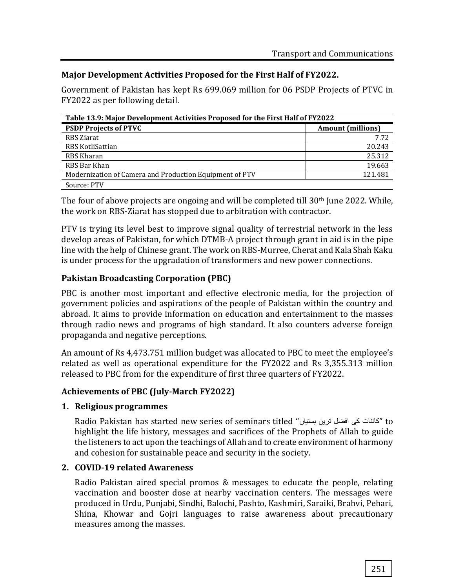#### **Major Development Activities Proposed for the First Half of FY2022.**

Government of Pakistan has kept Rs 699.069 million for 06 PSDP Projects of PTVC in FY2022 as per following detail.

| Table 13.9: Major Development Activities Proposed for the First Half of FY2022 |                          |  |  |
|--------------------------------------------------------------------------------|--------------------------|--|--|
| <b>PSDP Projects of PTVC</b>                                                   | <b>Amount</b> (millions) |  |  |
| RBS Ziarat                                                                     | 7.72                     |  |  |
| RBS KotliSattian                                                               | 20.243                   |  |  |
| RBS Kharan                                                                     | 25.312                   |  |  |
| RBS Bar Khan                                                                   | 19.663                   |  |  |
| Modernization of Camera and Production Equipment of PTV                        | 121.481                  |  |  |
| Source: PTV                                                                    |                          |  |  |

The four of above projects are ongoing and will be completed till 30<sup>th</sup> June 2022. While, the work on RBS-Ziarat has stopped due to arbitration with contractor.

PTV is trying its level best to improve signal quality of terrestrial network in the less develop areas of Pakistan, for which DTMB-A project through grant in aid is in the pipe line with the help of Chinese grant. The work on RBS-Murree, Cherat and Kala Shah Kaku is under process for the upgradation of transformers and new power connections.

#### **Pakistan Broadcasting Corporation (PBC)**

PBC is another most important and effective electronic media, for the projection of government policies and aspirations of the people of Pakistan within the country and abroad. It aims to provide information on education and entertainment to the masses through radio news and programs of high standard. It also counters adverse foreign propaganda and negative perceptions.

An amount of Rs 4,473.751 million budget was allocated to PBC to meet the employee's related as well as operational expenditure for the FY2022 and Rs 3,355.313 million released to PBC from for the expenditure of first three quarters of FY2022.

#### **Achievements of PBC (July-March FY2022)**

#### **1. Religious programmes**

Radio Pakistan has started new series of seminars titled "ہستیاں ترین افضل کی کائنات "to highlight the life history, messages and sacrifices of the Prophets of Allah to guide the listeners to act upon the teachings of Allah and to create environment of harmony and cohesion for sustainable peace and security in the society.

#### **2. COVID-19 related Awareness**

Radio Pakistan aired special promos & messages to educate the people, relating vaccination and booster dose at nearby vaccination centers. The messages were produced in Urdu, Punjabi, Sindhi, Balochi, Pashto, Kashmiri, Saraiki, Brahvi, Pehari, Shina, Khowar and Gojri languages to raise awareness about precautionary measures among the masses.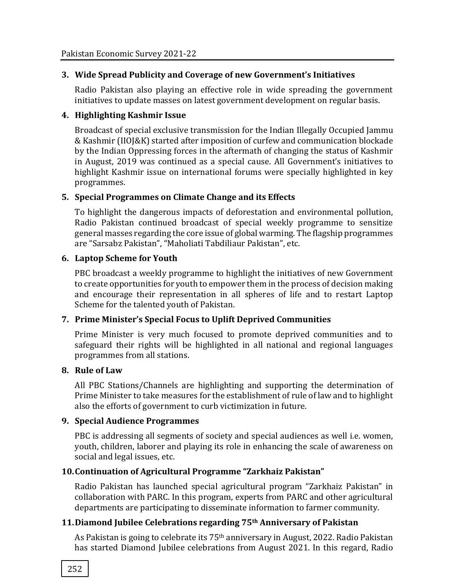#### **3. Wide Spread Publicity and Coverage of new Government's Initiatives**

Radio Pakistan also playing an effective role in wide spreading the government initiatives to update masses on latest government development on regular basis.

#### **4. Highlighting Kashmir Issue**

Broadcast of special exclusive transmission for the Indian Illegally Occupied Jammu & Kashmir (IIOJ&K) started after imposition of curfew and communication blockade by the Indian Oppressing forces in the aftermath of changing the status of Kashmir in August, 2019 was continued as a special cause. All Government's initiatives to highlight Kashmir issue on international forums were specially highlighted in key programmes.

#### **5. Special Programmes on Climate Change and its Effects**

To highlight the dangerous impacts of deforestation and environmental pollution, Radio Pakistan continued broadcast of special weekly programme to sensitize general masses regarding the core issue of global warming. The flagship programmes are "Sarsabz Pakistan", "Maholiati Tabdiliaur Pakistan", etc.

#### **6. Laptop Scheme for Youth**

PBC broadcast a weekly programme to highlight the initiatives of new Government to create opportunities for youth to empower them in the process of decision making and encourage their representation in all spheres of life and to restart Laptop Scheme for the talented youth of Pakistan.

## **7. Prime Minister's Special Focus to Uplift Deprived Communities**

Prime Minister is very much focused to promote deprived communities and to safeguard their rights will be highlighted in all national and regional languages programmes from all stations.

#### **8. Rule of Law**

All PBC Stations/Channels are highlighting and supporting the determination of Prime Minister to take measures for the establishment of rule of law and to highlight also the efforts of government to curb victimization in future.

#### **9. Special Audience Programmes**

PBC is addressing all segments of society and special audiences as well i.e. women, youth, children, laborer and playing its role in enhancing the scale of awareness on social and legal issues, etc.

## **10.Continuation of Agricultural Programme "Zarkhaiz Pakistan"**

Radio Pakistan has launched special agricultural program "Zarkhaiz Pakistan" in collaboration with PARC. In this program, experts from PARC and other agricultural departments are participating to disseminate information to farmer community.

## **11.Diamond Jubilee Celebrations regarding 75th Anniversary of Pakistan**

As Pakistan is going to celebrate its 75th anniversary in August, 2022. Radio Pakistan has started Diamond Jubilee celebrations from August 2021. In this regard, Radio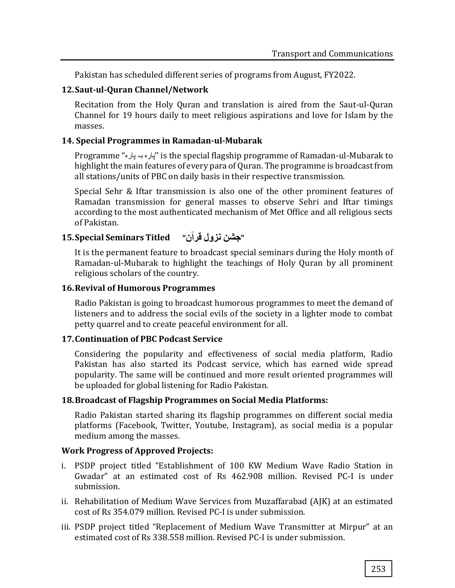Pakistan has scheduled different series of programs from August, FY2022.

#### **12.Saut-ul-Quran Channel/Network**

Recitation from the Holy Quran and translation is aired from the Saut-ul-Quran Channel for 19 hours daily to meet religious aspirations and love for Islam by the masses.

#### **14. Special Programmes in Ramadan-ul-Mubarak**

Programme "پارہ بہ پارہ ''is the special flagship programme of Ramadan-ul-Mubarak to highlight the main features of every para of Quran. The programme is broadcast from all stations/units of PBC on daily basis in their respective transmission.

Special Sehr & Iftar transmission is also one of the other prominent features of Ramadan transmission for general masses to observe Sehri and Iftar timings according to the most authenticated mechanism of Met Office and all religious sects of Pakistan.

# **15.Special Seminars Titled "جشن نزول قرآن"**

It is the permanent feature to broadcast special seminars during the Holy month of Ramadan-ul-Mubarak to highlight the teachings of Holy Quran by all prominent religious scholars of the country.

#### **16.Revival of Humorous Programmes**

Radio Pakistan is going to broadcast humorous programmes to meet the demand of listeners and to address the social evils of the society in a lighter mode to combat petty quarrel and to create peaceful environment for all.

#### **17.Continuation of PBC Podcast Service**

Considering the popularity and effectiveness of social media platform, Radio Pakistan has also started its Podcast service, which has earned wide spread popularity. The same will be continued and more result oriented programmes will be uploaded for global listening for Radio Pakistan.

#### **18.Broadcast of Flagship Programmes on Social Media Platforms:**

Radio Pakistan started sharing its flagship programmes on different social media platforms (Facebook, Twitter, Youtube, Instagram), as social media is a popular medium among the masses.

## **Work Progress of Approved Projects:**

- i. PSDP project titled "Establishment of 100 KW Medium Wave Radio Station in Gwadar" at an estimated cost of Rs 462.908 million. Revised PC-I is under submission.
- ii. Rehabilitation of Medium Wave Services from Muzaffarabad (AJK) at an estimated cost of Rs 354.079 million. Revised PC-I is under submission.
- iii. PSDP project titled "Replacement of Medium Wave Transmitter at Mirpur" at an estimated cost of Rs 338.558 million. Revised PC-I is under submission.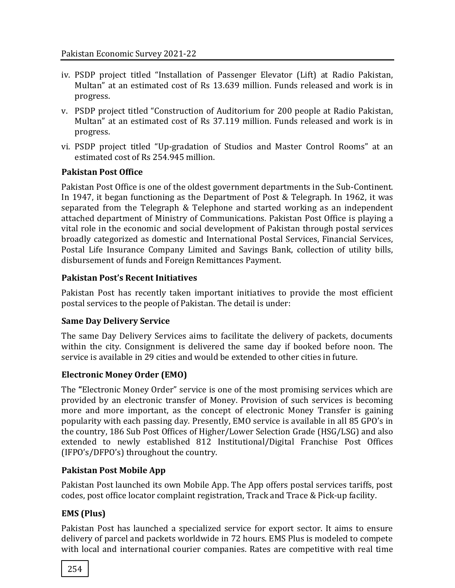- iv. PSDP project titled "Installation of Passenger Elevator (Lift) at Radio Pakistan, Multan" at an estimated cost of Rs 13.639 million. Funds released and work is in progress.
- v. PSDP project titled "Construction of Auditorium for 200 people at Radio Pakistan, Multan" at an estimated cost of Rs 37.119 million. Funds released and work is in progress.
- vi. PSDP project titled "Up-gradation of Studios and Master Control Rooms" at an estimated cost of Rs 254.945 million.

#### **Pakistan Post Office**

Pakistan Post Office is one of the oldest government departments in the Sub-Continent. In 1947, it began functioning as the Department of Post & Telegraph. In 1962, it was separated from the Telegraph & Telephone and started working as an independent attached department of Ministry of Communications. Pakistan Post Office is playing a vital role in the economic and social development of Pakistan through postal services broadly categorized as domestic and International Postal Services, Financial Services, Postal Life Insurance Company Limited and Savings Bank, collection of utility bills, disbursement of funds and Foreign Remittances Payment.

#### **Pakistan Post's Recent Initiatives**

Pakistan Post has recently taken important initiatives to provide the most efficient postal services to the people of Pakistan. The detail is under:

#### **Same Day Delivery Service**

The same Day Delivery Services aims to facilitate the delivery of packets, documents within the city. Consignment is delivered the same day if booked before noon. The service is available in 29 cities and would be extended to other cities in future.

#### **Electronic Money Order (EMO)**

The **"**Electronic Money Order" service is one of the most promising services which are provided by an electronic transfer of Money. Provision of such services is becoming more and more important, as the concept of electronic Money Transfer is gaining popularity with each passing day. Presently, EMO service is available in all 85 GPO's in the country, 186 Sub Post Offices of Higher/Lower Selection Grade (HSG/LSG) and also extended to newly established 812 Institutional/Digital Franchise Post Offices (IFPO's/DFPO's) throughout the country.

#### **Pakistan Post Mobile App**

Pakistan Post launched its own Mobile App. The App offers postal services tariffs, post codes, post office locator complaint registration, Track and Trace & Pick-up facility.

## **EMS (Plus)**

Pakistan Post has launched a specialized service for export sector. It aims to ensure delivery of parcel and packets worldwide in 72 hours. EMS Plus is modeled to compete with local and international courier companies. Rates are competitive with real time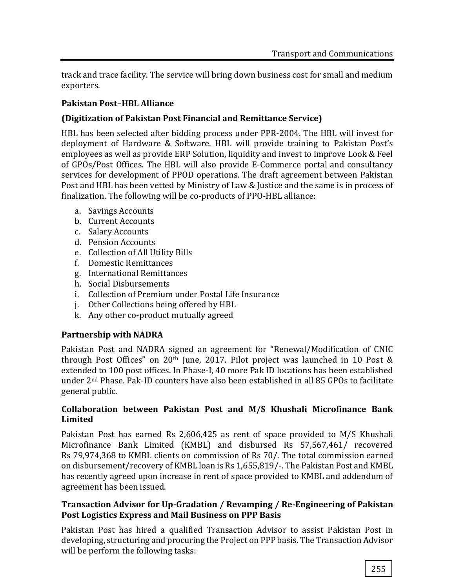track and trace facility. The service will bring down business cost for small and medium exporters.

#### **Pakistan Post–HBL Alliance**

## **(Digitization of Pakistan Post Financial and Remittance Service)**

HBL has been selected after bidding process under PPR-2004. The HBL will invest for deployment of Hardware & Software. HBL will provide training to Pakistan Post's employees as well as provide ERP Solution, liquidity and invest to improve Look & Feel of GPOs/Post Offices. The HBL will also provide E-Commerce portal and consultancy services for development of PPOD operations. The draft agreement between Pakistan Post and HBL has been vetted by Ministry of Law & Justice and the same is in process of finalization. The following will be co-products of PPO-HBL alliance:

- a. Savings Accounts
- b. Current Accounts
- c. Salary Accounts
- d. Pension Accounts
- e. Collection of All Utility Bills
- f. Domestic Remittances
- g. International Remittances
- h. Social Disbursements
- i. Collection of Premium under Postal Life Insurance
- j. Other Collections being offered by HBL
- k. Any other co-product mutually agreed

## **Partnership with NADRA**

Pakistan Post and NADRA signed an agreement for "Renewal/Modification of CNIC through Post Offices" on 20th June, 2017. Pilot project was launched in 10 Post & extended to 100 post offices. In Phase-I, 40 more Pak ID locations has been established under 2nd Phase. Pak-ID counters have also been established in all 85 GPOs to facilitate general public.

#### **Collaboration between Pakistan Post and M/S Khushali Microfinance Bank Limited**

Pakistan Post has earned Rs 2,606,425 as rent of space provided to M/S Khushali Microfinance Bank Limited (KMBL) and disbursed Rs 57,567,461/ recovered Rs 79,974,368 to KMBL clients on commission of Rs 70/. The total commission earned on disbursement/recovery of KMBL loan is Rs 1,655,819/-. The Pakistan Post and KMBL has recently agreed upon increase in rent of space provided to KMBL and addendum of agreement has been issued.

#### **Transaction Advisor for Up-Gradation / Revamping / Re-Engineering of Pakistan Post Logistics Express and Mail Business on PPP Basis**

Pakistan Post has hired a qualified Transaction Advisor to assist Pakistan Post in developing, structuring and procuring the Project on PPP basis. The Transaction Advisor will be perform the following tasks: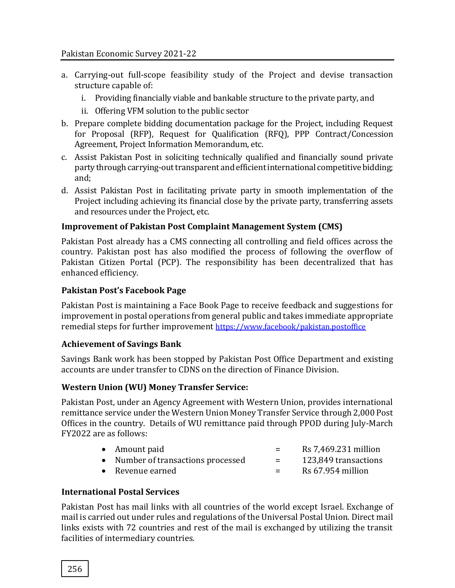- a. Carrying-out full-scope feasibility study of the Project and devise transaction structure capable of:
	- i. Providing financially viable and bankable structure to the private party, and
	- ii. Offering VFM solution to the public sector
- b. Prepare complete bidding documentation package for the Project, including Request for Proposal (RFP), Request for Qualification (RFQ), PPP Contract/Concession Agreement, Project Information Memorandum, etc.
- c. Assist Pakistan Post in soliciting technically qualified and financially sound private party through carrying-out transparent and efficient international competitive bidding; and;
- d. Assist Pakistan Post in facilitating private party in smooth implementation of the Project including achieving its financial close by the private party, transferring assets and resources under the Project, etc.

#### **Improvement of Pakistan Post Complaint Management System (CMS)**

Pakistan Post already has a CMS connecting all controlling and field offices across the country. Pakistan post has also modified the process of following the overflow of Pakistan Citizen Portal (PCP). The responsibility has been decentralized that has enhanced efficiency.

#### **Pakistan Post's Facebook Page**

Pakistan Post is maintaining a Face Book Page to receive feedback and suggestions for improvement in postal operations from general public and takes immediate appropriate remedial steps for further improvement <https://www.facebook/pakistan.postoffice>

#### **Achievement of Savings Bank**

Savings Bank work has been stopped by Pakistan Post Office Department and existing accounts are under transfer to CDNS on the direction of Finance Division.

#### **Western Union (WU) Money Transfer Service:**

Pakistan Post, under an Agency Agreement with Western Union, provides international remittance service under the Western Union Money Transfer Service through 2,000 Post Offices in the country. Details of WU remittance paid through PPOD during July-March FY2022 are as follows:

| • Amount paid                      | $=$ | Rs 7,469.231 million |
|------------------------------------|-----|----------------------|
| • Number of transactions processed | $=$ | 123,849 transactions |
| • Revenue earned                   | $=$ | Rs 67.954 million    |

## **International Postal Services**

Pakistan Post has mail links with all countries of the world except Israel. Exchange of mail is carried out under rules and regulations of the Universal Postal Union. Direct mail links exists with 72 countries and rest of the mail is exchanged by utilizing the transit facilities of intermediary countries.